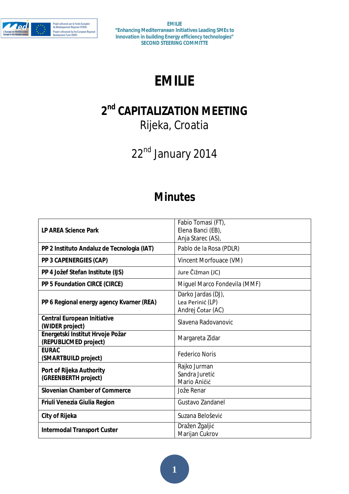

# **EMILIE**

# **2 nd CAPITALIZATION MEETING**

Rijeka, Croatia

22<sup>nd</sup> January 2014

# **Minutes**

| <b>LP AREA Science Park</b>                               | Fabio Tomasi (FT),<br>Elena Banci (EB),<br>Anja Starec (AS), |
|-----------------------------------------------------------|--------------------------------------------------------------|
| PP 2 Instituto Andaluz de Tecnologia (IAT)                | Pablo de la Rosa (PDLR)                                      |
| <b>PP 3 CAPENERGIES (CAP)</b>                             | Vincent Morfouace (VM)                                       |
| PP 4 Jožef Stefan Institute (IJS)                         | Jure Čižman (JC)                                             |
| <b>PP 5 Foundation CIRCE (CIRCE)</b>                      | Miguel Marco Fondevila (MMF)                                 |
| PP 6 Regional energy agency Kvarner (REA)                 | Darko Jardas (DJ),<br>Lea Perinić (LP)<br>Andrej Čotar (AC)  |
| <b>Central European Initiative</b><br>(WIDER project)     | Slavena Radovanovic                                          |
| Energetski Institut Hrvoje Požar<br>(REPUBLICMED project) | Margareta Zidar                                              |
| <b>EURAC</b><br>(SMARTBUILD project)                      | <b>Federico Noris</b>                                        |
| Port of Rijeka Authority<br>(GREENBERTH project)          | Rajko Jurman<br>Sandra Juretić<br>Mario Aničić               |
| <b>Slovenian Chamber of Commerce</b>                      | Jože Renar                                                   |
| Friuli Venezia Giulia Region                              | Gustavo Zandanel                                             |
| <b>City of Rijeka</b>                                     | Suzana Belošević                                             |
| <b>Intermodal Transport Custer</b>                        | Dražen Žgaljić<br>Marijan Cukrov                             |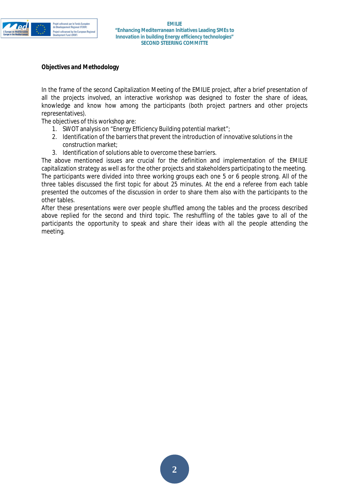

### **Objectives and Methodology**

In the frame of the second Capitalization Meeting of the EMILIE project, after a brief presentation of all the projects involved, an interactive workshop was designed to foster the share of ideas, knowledge and know how among the participants (both project partners and other projects representatives).

The objectives of this workshop are:

- 1. SWOT analysis on "Energy Efficiency Building potential market";
- 2. Identification of the barriers that prevent the introduction of innovative solutions in the construction market;
- 3. Identification of solutions able to overcome these barriers.

The above mentioned issues are crucial for the definition and implementation of the EMILIE capitalization strategy as well as for the other projects and stakeholders participating to the meeting. The participants were divided into three working groups each one 5 or 6 people strong. All of the three tables discussed the first topic for about 25 minutes. At the end a referee from each table presented the outcomes of the discussion in order to share them also with the participants to the other tables.

After these presentations were over people shuffled among the tables and the process described above replied for the second and third topic. The reshuffling of the tables gave to all of the participants the opportunity to speak and share their ideas with all the people attending the meeting.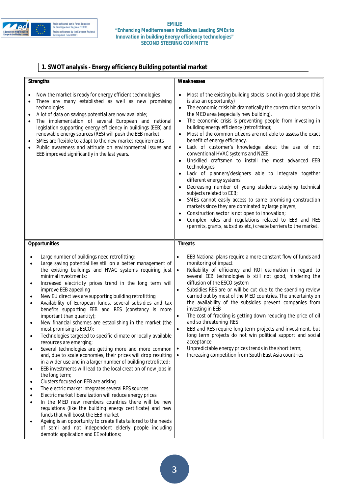

#### **EMILIE "Enhancing Mediterranean Initiatives Leading SMEs to Innovation in building Energy efficiency technologies" SECOND STEERING COMMITTE**

# **1. SWOT analysis - Energy efficiency Building potential market**

| <b>Strengths</b>                                                                                                                                                                                                                                                                                                                                                                                                                                                                                                                                                                                                                                                                                                                                                                                                                                                                                                                                                                                                                                                                                                                                                                                                                                                                                                                                                                                                                                                                                                                                                                                  | <b>Weaknesses</b>                                                                                                                                                                                                                                                                                                                                                                                                                                                                                                                                                                                                                                                                                                                                                                                                                                                                                                                                                                                                                                                                                           |
|---------------------------------------------------------------------------------------------------------------------------------------------------------------------------------------------------------------------------------------------------------------------------------------------------------------------------------------------------------------------------------------------------------------------------------------------------------------------------------------------------------------------------------------------------------------------------------------------------------------------------------------------------------------------------------------------------------------------------------------------------------------------------------------------------------------------------------------------------------------------------------------------------------------------------------------------------------------------------------------------------------------------------------------------------------------------------------------------------------------------------------------------------------------------------------------------------------------------------------------------------------------------------------------------------------------------------------------------------------------------------------------------------------------------------------------------------------------------------------------------------------------------------------------------------------------------------------------------------|-------------------------------------------------------------------------------------------------------------------------------------------------------------------------------------------------------------------------------------------------------------------------------------------------------------------------------------------------------------------------------------------------------------------------------------------------------------------------------------------------------------------------------------------------------------------------------------------------------------------------------------------------------------------------------------------------------------------------------------------------------------------------------------------------------------------------------------------------------------------------------------------------------------------------------------------------------------------------------------------------------------------------------------------------------------------------------------------------------------|
| Now the market is ready for energy efficient technologies<br>There are many established as well as new promising<br>٠<br>technologies<br>A lot of data on savings potential are now available;<br>The implementation of several European and national<br>legislation supporting energy efficiency in buildings (EEB) and<br>renewable energy sources (RES) will push the EEB market<br>SMEs are flexible to adapt to the new market requirements<br>$\bullet$<br>Public awareness and attitude on environmental issues and<br>EEB improved significantly in the last years.                                                                                                                                                                                                                                                                                                                                                                                                                                                                                                                                                                                                                                                                                                                                                                                                                                                                                                                                                                                                                       | Most of the existing building stocks is not in good shape (this<br>is also an opportunity)<br>The economic crisis hit dramatically the construction sector in<br>the MED area (especially new building).<br>The economic crisis is preventing people from investing in<br>$\bullet$<br>building energy efficiency (retrofitting);<br>Most of the common citizens are not able to assess the exact<br>$\bullet$<br>benefit of energy efficiency.<br>Lack of customer's knowledge about the use of not<br>$\bullet$<br>conventional HVAC systems and NZEB.<br>Unskilled craftsmen to install the most advanced EEB<br>technologies<br>Lack of planners/designers able to integrate together<br>different energy systems<br>Decreasing number of young students studying technical<br>subjects related to EEB;<br>SMEs cannot easily access to some promising construction<br>markets since they are dominated by large players;<br>Construction sector is not open to innovation;<br>Complex rules and regulations related to EEB and RES<br>(permits, grants, subsidies etc.) create barriers to the market. |
| <b>Opportunities</b>                                                                                                                                                                                                                                                                                                                                                                                                                                                                                                                                                                                                                                                                                                                                                                                                                                                                                                                                                                                                                                                                                                                                                                                                                                                                                                                                                                                                                                                                                                                                                                              | <b>Threats</b>                                                                                                                                                                                                                                                                                                                                                                                                                                                                                                                                                                                                                                                                                                                                                                                                                                                                                                                                                                                                                                                                                              |
| Large number of buildings need retrofitting;<br>Large saving potential lies still on a better management of<br>$\bullet$<br>the existing buildings and HVAC systems requiring just<br>minimal investments;<br>Increased electricity prices trend in the long term will<br>$\bullet$<br>improve EEB appealing<br>New EU directives are supporting building retrofitting<br>$\bullet$<br>Availability of European funds, several subsidies and tax<br>$\bullet$<br>benefits supporting EEB and RES (constancy is more<br>important than quantity);<br>New financial schemes are establishing in the market (the<br>$\bullet$<br>most promising is ESCO);<br>Technologies targeted to specific climate or locally available<br>resources are emerging;<br>Several technologies are getting more and more common<br>$\bullet$<br>and, due to scale economies, their prices will drop resulting<br>in a wider use and in a larger number of building retrofitted;<br>EEB investments will lead to the local creation of new jobs in<br>$\bullet$<br>the long term;<br>Clusters focused on EEB are arising<br>$\bullet$<br>The electric market integrates several RES sources<br>٠<br>Electric market liberalization will reduce energy prices<br>In the MED new members countries there will be new<br>$\bullet$<br>regulations (like the building energy certificate) and new<br>funds that will boost the EEB market<br>Ageing is an opportunity to create flats tailored to the needs<br>$\bullet$<br>of semi and not independent elderly people including<br>demotic application and EE solutions; | EEB National plans require a more constant flow of funds and<br>$\bullet$<br>monitoring of impact<br>Reliability of efficiency and ROI estimation in regard to<br>$\bullet$<br>several EEB technologies is still not good, hindering the<br>diffusion of the ESCO system<br>Subsidies RES are or will be cut due to the spending review<br>carried out by most of the MED countries. The uncertainty on<br>the availability of the subsidies prevent companies from<br>investing in EEB<br>The cost of fracking is getting down reducing the price of oil<br>$\bullet$<br>and so threatening RES<br>EEB and RES require long term projects and investment, but<br>long term projects do not win political support and social<br>acceptance<br>Unpredictable energy prices trends in the short term;<br>∣•<br>Increasing competition from South East Asia countries<br>$\bullet$                                                                                                                                                                                                                             |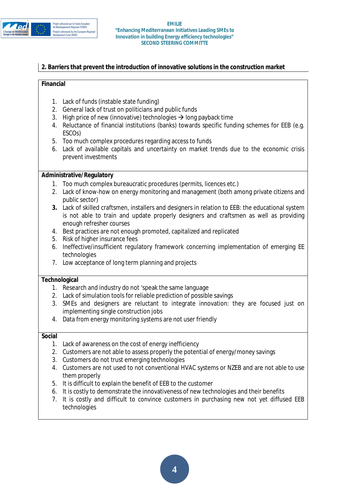

# **2. Barriers that prevent the introduction of innovative solutions in the construction market**

#### **Financial**

- 1. Lack of funds (instable state funding)
- 2. General lack of trust on politicians and public funds
- 3. High price of new (innovative) technologies  $\rightarrow$  long payback time
- 4. Reluctance of financial institutions (banks) towards specific funding schemes for EEB (e.g. ESCOs)
- 5. Too much complex procedures regarding access to funds
- 6. Lack of available capitals and uncertainty on market trends due to the economic crisis prevent investments

### **Administrative/Regulatory**

- 1. Too much complex bureaucratic procedures (permits, licences etc.)
- 2. Lack of know-how on energy monitoring and management (both among private citizens and public sector)
- **3.** Lack of skilled craftsmen, installers and designers in relation to EEB: the educational system is not able to train and update properly designers and craftsmen as well as providing enough refresher courses
- 4. Best practices are not enough promoted, capitalized and replicated
- 5. Risk of higher insurance fees
- 6. Ineffective/insufficient regulatory framework concerning implementation of emerging EE technologies
- 7. Low acceptance of long term planning and projects

#### **Technological**

- 1. Research and industry do not 'speak the same language
- 2. Lack of simulation tools for reliable prediction of possible savings
- 3. SMEs and designers are reluctant to integrate innovation: they are focused just on implementing single construction jobs
- 4. Data from energy monitoring systems are not user friendly

#### **Social**

- 1. Lack of awareness on the cost of energy inefficiency
- 2. Customers are not able to assess properly the potential of energy/money savings
- 3. Customers do not trust emerging technologies
- 4. Customers are not used to not conventional HVAC systems or NZEB and are not able to use them properly
- 5. It is difficult to explain the benefit of EEB to the customer
- 6. It is costly to demonstrate the innovativeness of new technologies and their benefits
- 7. It is costly and difficult to convince customers in purchasing new not yet diffused EEB technologies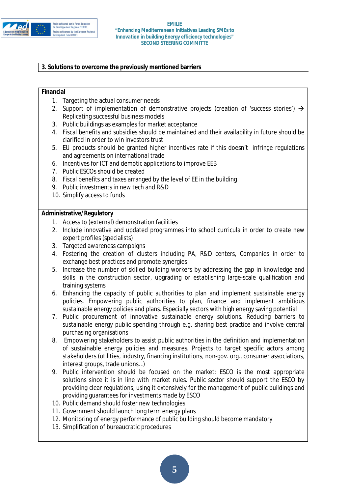

# **3. Solutions to overcome the previously mentioned barriers**

### **Financial**

- 1. Targeting the actual consumer needs
- 2. Support of implementation of demonstrative projects (creation of 'success stories')  $\rightarrow$ Replicating successful business models
- 3. Public buildings as examples for market acceptance
- 4. Fiscal benefits and subsidies should be maintained and their availability in future should be clarified in order to win investors trust
- 5. EU products should be granted higher incentives rate if this doesn't infringe regulations and agreements on international trade
- 6. Incentives for ICT and demotic applications to improve EEB
- 7. Public ESCOs should be created
- 8. Fiscal benefits and taxes arranged by the level of EE in the building
- 9. Public investments in new tech and R&D
- 10. Simplify access to funds

### **Administrative/Regulatory**

- 1. Access to (external) demonstration facilities
- 2. Include innovative and updated programmes into school curricula in order to create new expert profiles (specialists)
- 3. Targeted awareness campaigns
- 4. Fostering the creation of clusters including PA, R&D centers, Companies in order to exchange best practices and promote synergies
- 5. Increase the number of skilled building workers by addressing the gap in knowledge and skills in the construction sector, upgrading or establishing large-scale qualification and training systems
- 6. Enhancing the capacity of public authorities to plan and implement sustainable energy policies. Empowering public authorities to plan, finance and implement ambitious sustainable energy policies and plans. Especially sectors with high energy saving potential
- 7. Public procurement of innovative sustainable energy solutions. Reducing barriers to sustainable energy public spending through e.g. sharing best practice and involve central purchasing organisations
- 8. Empowering stakeholders to assist public authorities in the definition and implementation of sustainable energy policies and measures. Projects to target specific actors among stakeholders (utilities, industry, financing institutions, non-gov. org., consumer associations, interest groups, trade unions…)
- 9. Public intervention should be focused on the market: ESCO is the most appropriate solutions since it is in line with market rules. Public sector should support the ESCO by providing clear regulations, using it extensively for the management of public buildings and providing guarantees for investments made by ESCO
- 10. Public demand should foster new technologies
- 11. Government should launch long term energy plans
- 12. Monitoring of energy performance of public building should become mandatory
- 13. Simplification of bureaucratic procedures